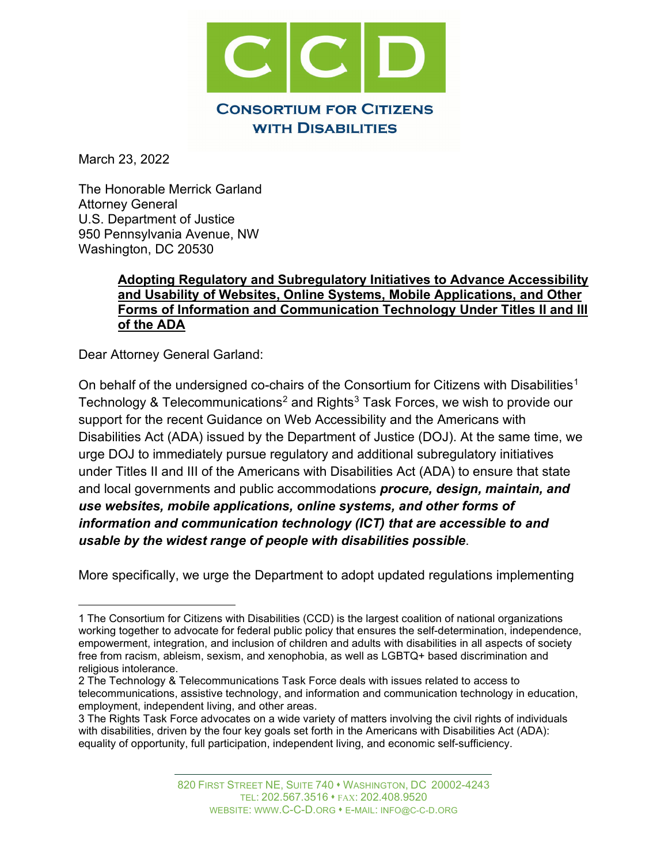

March 23, 2022

The Honorable Merrick Garland Attorney General U.S. Department of Justice 950 Pennsylvania Avenue, NW Washington, DC 20530

## **Adopting Regulatory and Subregulatory Initiatives to Advance Accessibility and Usability of Websites, Online Systems, Mobile Applications, and Other Forms of Information and Communication Technology Under Titles II and III of the ADA**

Dear Attorney General Garland:

On behalf of the undersigned co-chairs of the Consortium for Citizens with Disabilities<sup>[1](#page-0-0)</sup> Technology & Telecommunications<sup>2</sup> and Rights<sup>[3](#page-0-2)</sup> Task Forces, we wish to provide our support for the recent Guidance on Web Accessibility and the Americans with Disabilities Act (ADA) issued by the Department of Justice (DOJ). At the same time, we urge DOJ to immediately pursue regulatory and additional subregulatory initiatives under Titles II and III of the Americans with Disabilities Act (ADA) to ensure that state and local governments and public accommodations *procure, design, maintain, and use websites, mobile applications, online systems, and other forms of information and communication technology (ICT) that are accessible to and usable by the widest range of people with disabilities possible*.

More specifically, we urge the Department to adopt updated regulations implementing

<span id="page-0-0"></span><sup>1</sup> The Consortium for Citizens with Disabilities (CCD) is the largest coalition of national organizations working together to advocate for federal public policy that ensures the self-determination, independence, empowerment, integration, and inclusion of children and adults with disabilities in all aspects of society free from racism, ableism, sexism, and xenophobia, as well as LGBTQ+ based discrimination and religious intolerance.

<span id="page-0-1"></span><sup>2</sup> The Technology & Telecommunications Task Force deals with issues related to access to telecommunications, assistive technology, and information and communication technology in education, employment, independent living, and other areas.

<span id="page-0-2"></span><sup>3</sup> The Rights Task Force advocates on a wide variety of matters involving the civil rights of individuals with disabilities, driven by the four key goals set forth in the Americans with Disabilities Act (ADA): equality of opportunity, full participation, independent living, and economic self-sufficiency.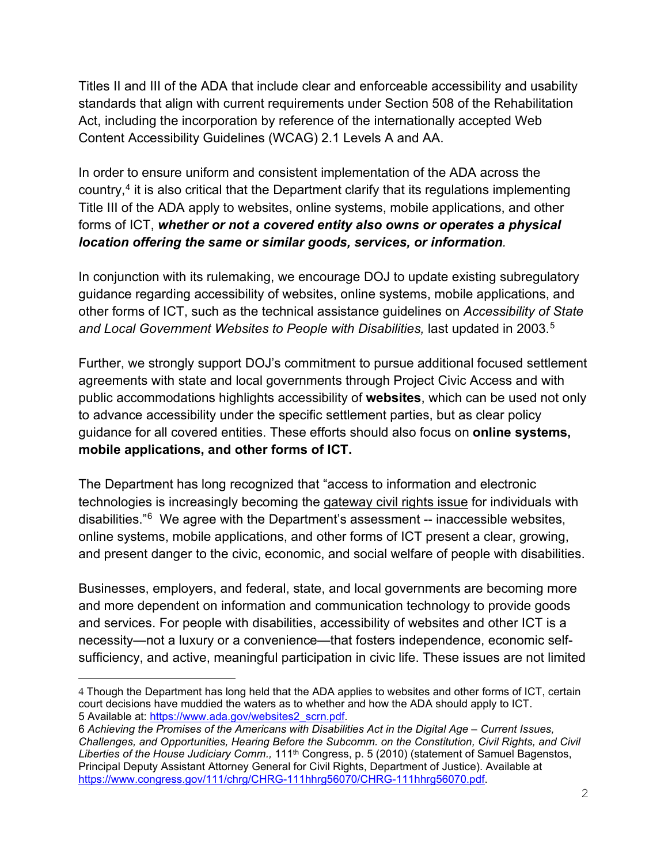Titles II and III of the ADA that include clear and enforceable accessibility and usability standards that align with current requirements under Section 508 of the Rehabilitation Act, including the incorporation by reference of the internationally accepted Web Content Accessibility Guidelines (WCAG) 2.1 Levels A and AA.

In order to ensure uniform and consistent implementation of the ADA across the country,<sup>4</sup> it is also critical that the Department clarify that its regulations implementing Title III of the ADA apply to websites, online systems, mobile applications, and other forms of ICT, *whether or not a covered entity also owns or operates a physical location offering the same or similar goods, services, or information.*

In conjunction with its rulemaking, we encourage DOJ to update existing subregulatory guidance regarding accessibility of websites, online systems, mobile applications, and other forms of ICT, such as the technical assistance guidelines on *Accessibility of State*  and Local Government Websites to People with Disabilities, last updated in 2003.<sup>5</sup>

Further, we strongly support DOJ's commitment to pursue additional focused settlement agreements with state and local governments through Project Civic Access and with public accommodations highlights accessibility of **websites**, which can be used not only to advance accessibility under the specific settlement parties, but as clear policy guidance for all covered entities. These efforts should also focus on **online systems, mobile applications, and other forms of ICT.**

The Department has long recognized that "access to information and electronic technologies is increasingly becoming the gateway civil rights issue for individuals with disabilities."[6](#page-1-2) We agree with the Department's assessment -- inaccessible websites, online systems, mobile applications, and other forms of ICT present a clear, growing, and present danger to the civic, economic, and social welfare of people with disabilities.

Businesses, employers, and federal, state, and local governments are becoming more and more dependent on information and communication technology to provide goods and services. For people with disabilities, accessibility of websites and other ICT is a necessity—not a luxury or a convenience—that fosters independence, economic selfsufficiency, and active, meaningful participation in civic life. These issues are not limited

<span id="page-1-0"></span><sup>4</sup> Though the Department has long held that the ADA applies to websites and other forms of ICT, certain court decisions have muddied the waters as to whether and how the ADA should apply to ICT. 5 Available at: [https://www.ada.gov/websites2\\_scrn.pdf.](https://www.ada.gov/websites2_scrn.pdf)

<span id="page-1-2"></span><span id="page-1-1"></span><sup>6</sup> *Achieving the Promises of the Americans with Disabilities Act in the Digital Age – Current Issues, Challenges, and Opportunities, Hearing Before the Subcomm. on the Constitution, Civil Rights, and Civil*  Liberties of the House Judiciary Comm., 111<sup>th</sup> Congress, p. 5 (2010) (statement of Samuel Bagenstos, Principal Deputy Assistant Attorney General for Civil Rights, Department of Justice). Available at [https://www.congress.gov/111/chrg/CHRG-111hhrg56070/CHRG-111hhrg56070.pdf.](https://www.congress.gov/111/chrg/CHRG-111hhrg56070/CHRG-111hhrg56070.pdf)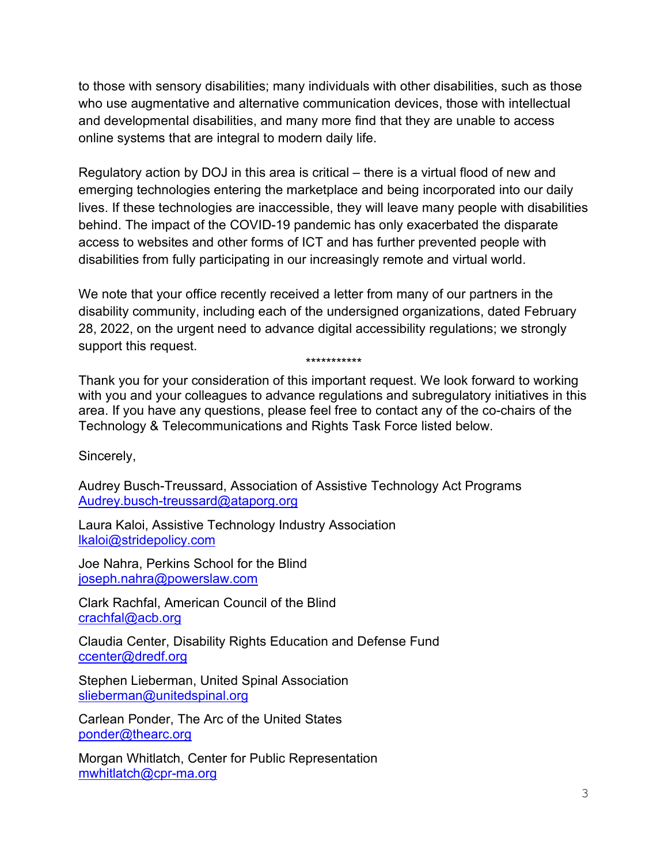to those with sensory disabilities; many individuals with other disabilities, such as those who use augmentative and alternative communication devices, those with intellectual and developmental disabilities, and many more find that they are unable to access online systems that are integral to modern daily life.

Regulatory action by DOJ in this area is critical – there is a virtual flood of new and emerging technologies entering the marketplace and being incorporated into our daily lives. If these technologies are inaccessible, they will leave many people with disabilities behind. The impact of the COVID-19 pandemic has only exacerbated the disparate access to websites and other forms of ICT and has further prevented people with disabilities from fully participating in our increasingly remote and virtual world.

We note that your office recently received a letter from many of our partners in the disability community, including each of the undersigned organizations, dated February 28, 2022, on the urgent need to advance digital accessibility regulations; we strongly support this request.

\*\*\*\*\*\*\*\*\*\*\*

Thank you for your consideration of this important request. We look forward to working with you and your colleagues to advance regulations and subregulatory initiatives in this area. If you have any questions, please feel free to contact any of the co-chairs of the Technology & Telecommunications and Rights Task Force listed below.

Sincerely,

Audrey Busch-Treussard, Association of Assistive Technology Act Programs [Audrey.busch-treussard@ataporg.org](mailto:Audrey.busch-treussard@ataporg.org) 

Laura Kaloi, Assistive Technology Industry Association [lkaloi@stridepolicy.com](mailto:lkaloi@stridepolicy.com)

Joe Nahra, Perkins School for the Blind [joseph.nahra@powerslaw.com](mailto:joseph.nahra@powerslaw.com)

Clark Rachfal, American Council of the Blind [crachfal@acb.org](mailto:crachfal@acb.org)

Claudia Center, Disability Rights Education and Defense Fund [ccenter@dredf.org](mailto:ccenter@dredf.org)

Stephen Lieberman, United Spinal Association [slieberman@unitedspinal.org](mailto:slieberman@unitedspinal.org)

Carlean Ponder, The Arc of the United States [ponder@thearc.org](mailto:ponder@thearc.org)

Morgan Whitlatch, Center for Public Representation [mwhitlatch@cpr-ma.org](mailto:mwhitlatch@cpr-ma.org)